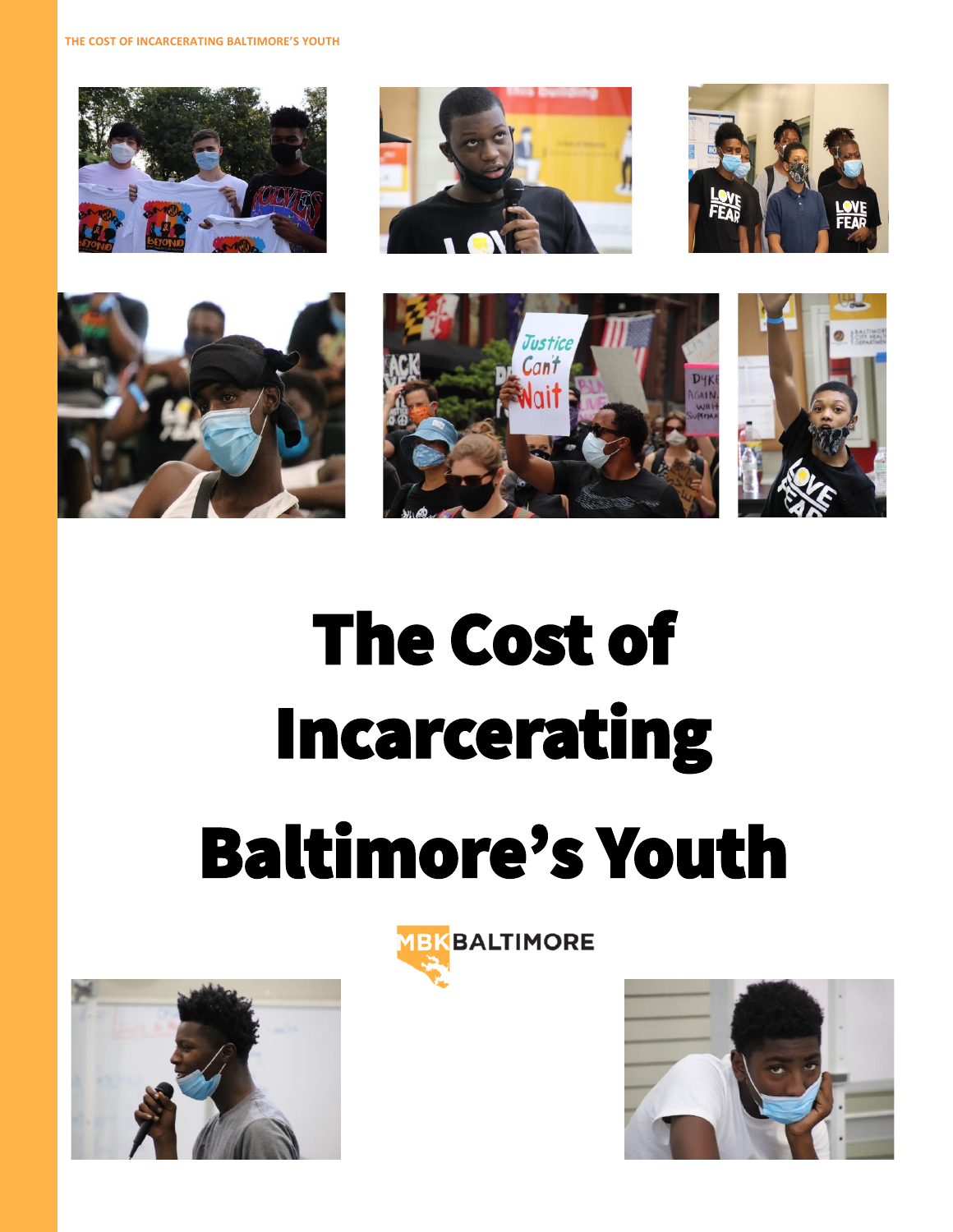**THE COST OF INCARCERATING BALTIMORE'S YOUTH**













# The Cost of Incarcerating Baltimore's Youth





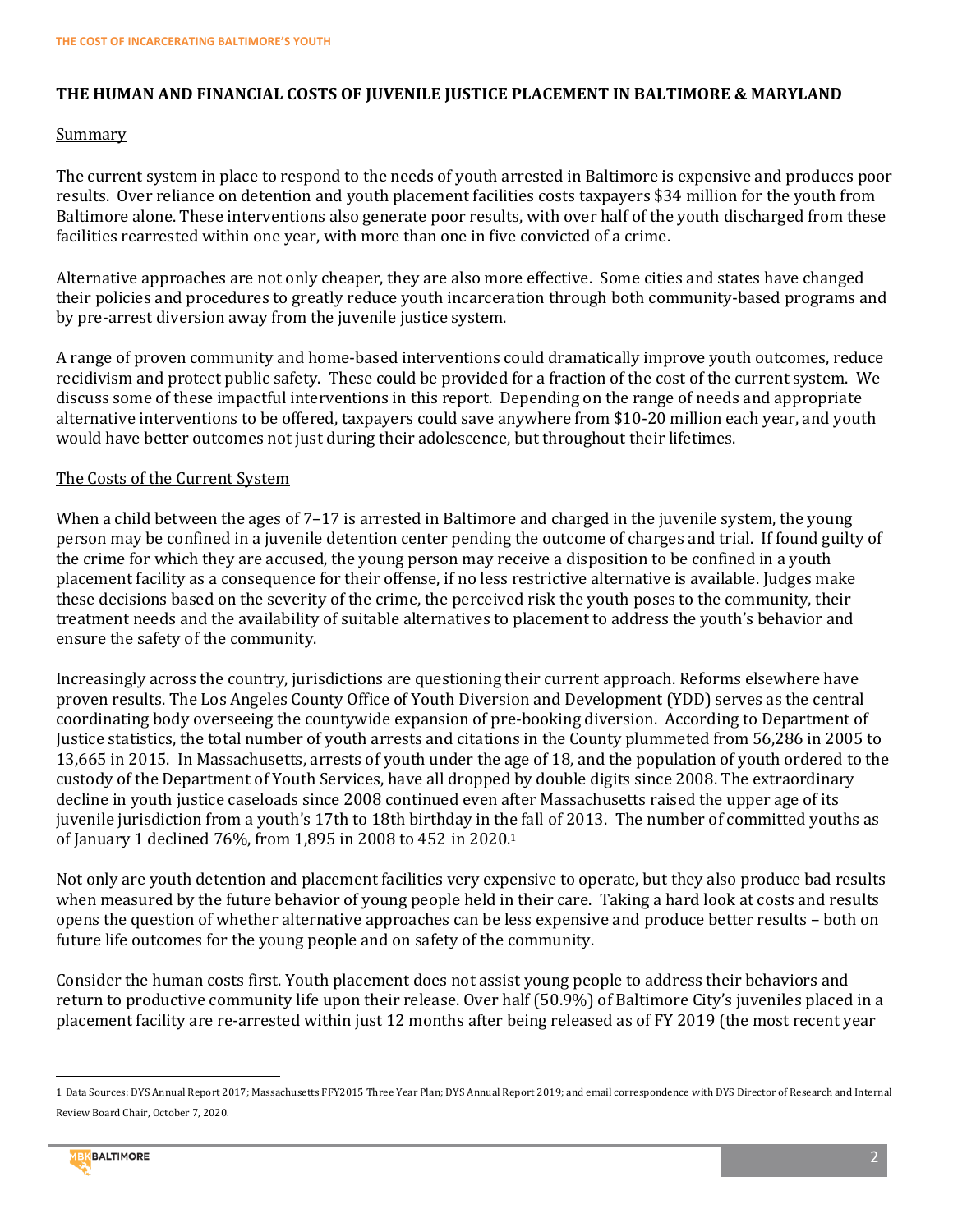# **THE HUMAN AND FINANCIAL COSTS OF JUVENILE JUSTICE PLACEMENT IN BALTIMORE & MARYLAND**

#### Summary

The current system in place to respond to the needs of youth arrested in Baltimore is expensive and produces poor results. Over reliance on detention and youth placement facilities costs taxpayers \$34 million for the youth from Baltimore alone. These interventions also generate poor results, with over half of the youth discharged from these facilities rearrested within one year, with more than one in five convicted of a crime.

Alternative approaches are not only cheaper, they are also more effective. Some cities and states have changed their policies and procedures to greatly reduce youth incarceration through both community-based programs and by pre-arrest diversion away from the juvenile justice system.

A range of proven community and home-based interventions could dramatically improve youth outcomes, reduce recidivism and protect public safety. These could be provided for a fraction of the cost of the current system. We discuss some of these impactful interventions in this report. Depending on the range of needs and appropriate alternative interventions to be offered, taxpayers could save anywhere from \$10-20 million each year, and youth would have better outcomes not just during their adolescence, but throughout their lifetimes.

#### The Costs of the Current System

When a child between the ages of 7–17 is arrested in Baltimore and charged in the juvenile system, the young person may be confined in a juvenile detention center pending the outcome of charges and trial. If found guilty of the crime for which they are accused, the young person may receive a disposition to be confined in a youth placement facility as a consequence for their offense, if no less restrictive alternative is available. Judges make these decisions based on the severity of the crime, the perceived risk the youth poses to the community, their treatment needs and the availability of suitable alternatives to placement to address the youth's behavior and ensure the safety of the community.

Increasingly across the country, jurisdictions are questioning their current approach. Reforms elsewhere have proven results. The Los Angeles County Office of Youth Diversion and Development (YDD) serves as the central coordinating body overseeing the countywide expansion of pre-booking diversion. According to Department of Justice statistics, the total number of youth arrests and citations in the County plummeted from 56,286 in 2005 to 13,665 in 2015. In Massachusetts, arrests of youth under the age of 18, and the population of youth ordered to the custody of the Department of Youth Services, have all dropped by double digits since 2008. The extraordinary decline in youth justice caseloads since 2008 continued even after Massachusetts raised the upper age of its juvenile jurisdiction from a youth's 17th to 18th birthday in the fall of 2013. The number of committed youths as of January 1 declined 76%, from 1,895 in 2008 to 452 in 2020.<sup>1</sup>

Not only are youth detention and placement facilities very expensive to operate, but they also produce bad results when measured by the future behavior of young people held in their care. Taking a hard look at costs and results opens the question of whether alternative approaches can be less expensive and produce better results – both on future life outcomes for the young people and on safety of the community.

Consider the human costs first. Youth placement does not assist young people to address their behaviors and return to productive community life upon their release. Over half (50.9%) of Baltimore City's juveniles placed in a placement facility are re-arrested within just 12 months after being released as of FY 2019 (the most recent year

<sup>1</sup> Data Sources: DYS Annual Report 2017; Massachusetts FFY2015 Three Year Plan; DYS Annual Report 2019; and email correspondence with DYS Director of Research and Internal Review Board Chair, October 7, 2020.



l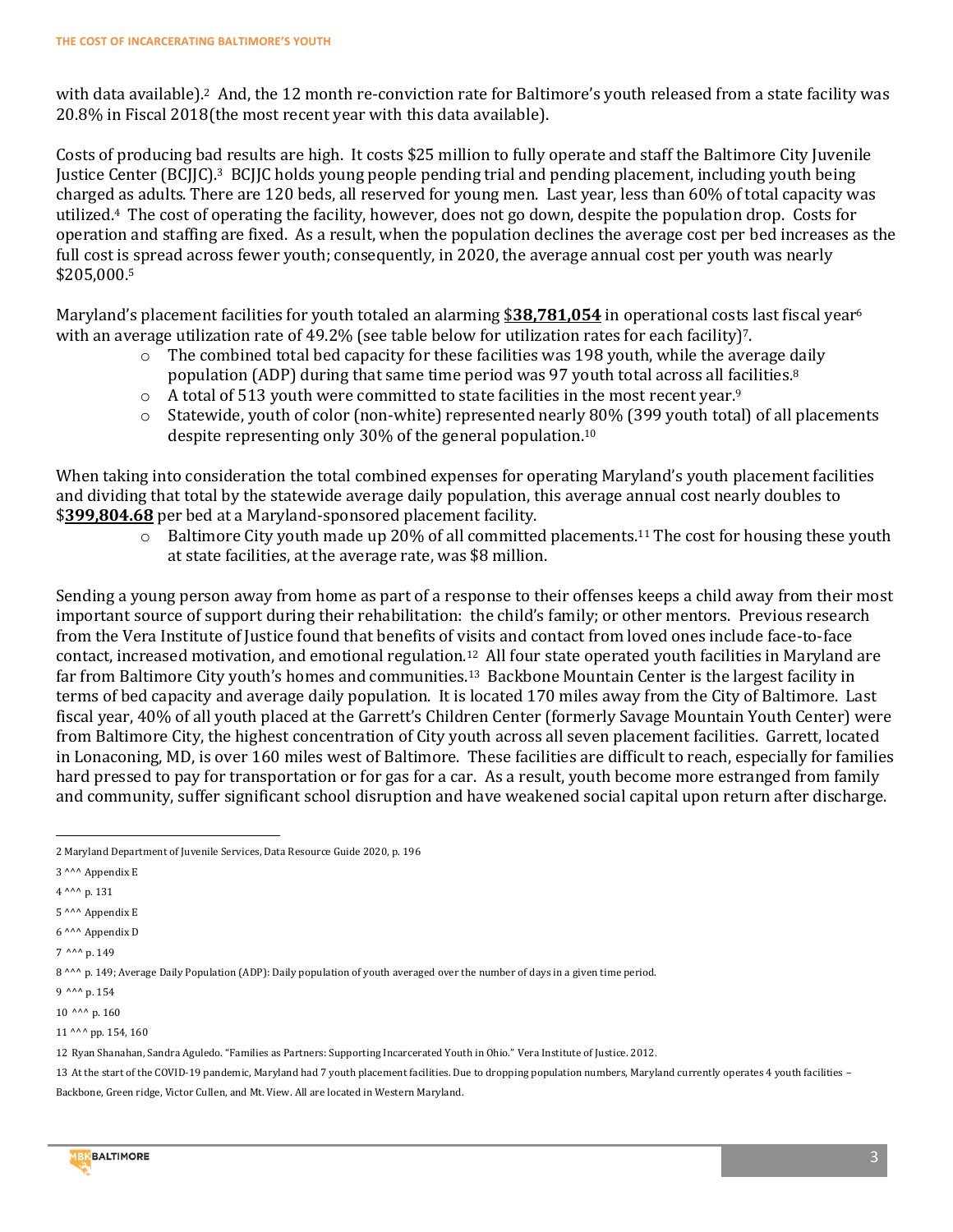with data available). <sup>2</sup> And, the 12 month re-conviction rate for Baltimore's youth released from a state facility was 20.8% in Fiscal 2018(the most recent year with this data available).

Costs of producing bad results are high. It costs \$25 million to fully operate and staff the Baltimore City Juvenile Justice Center (BCJJC).<sup>3</sup> BCJJC holds young people pending trial and pending placement, including youth being charged as adults. There are 120 beds, all reserved for young men. Last year, less than 60% of total capacity was utilized.4 The cost of operating the facility, however, does not go down, despite the population drop. Costs for operation and staffing are fixed. As a result, when the population declines the average cost per bed increases as the full cost is spread across fewer youth; consequently, in 2020, the average annual cost per youth was nearly \$205,000.<sup>5</sup>

Maryland's placement facilities for youth totaled an alarming \$**38,781,054** in operational costs last fiscal year<sup>6</sup> with an average utilization rate of 49.2% (see table below for utilization rates for each facility)<sup>7</sup>.

- $\circ$  The combined total bed capacity for these facilities was 198 youth, while the average daily population (ADP) during that same time period was 97 youth total across all facilities.<sup>8</sup>
- o A total of 513 youth were committed to state facilities in the most recent year.<sup>9</sup>
- o Statewide, youth of color (non-white) represented nearly 80% (399 youth total) of all placements despite representing only 30% of the general population. 10

When taking into consideration the total combined expenses for operating Maryland's youth placement facilities and dividing that total by the statewide average daily population, this average annual cost nearly doubles to \$**399,804.68** per bed at a Maryland-sponsored placement facility.

 $\circ$  Baltimore City youth made up 20% of all committed placements.<sup>11</sup> The cost for housing these youth at state facilities, at the average rate, was \$8 million.

Sending a young person away from home as part of a response to their offenses keeps a child away from their most important source of support during their rehabilitation: the child's family; or other mentors. Previous research from the Vera Institute of Justice found that benefits of visits and contact from loved ones include face-to-face contact, increased motivation, and emotional regulation.12 All four state operated youth facilities in Maryland are far from Baltimore City youth's homes and communities.<sup>13</sup> Backbone Mountain Center is the largest facility in terms of bed capacity and average daily population. It is located 170 miles away from the City of Baltimore. Last fiscal year, 40% of all youth placed at the Garrett's Children Center (formerly Savage Mountain Youth Center) were from Baltimore City, the highest concentration of City youth across all seven placement facilities. Garrett, located in Lonaconing, MD, is over 160 miles west of Baltimore. These facilities are difficult to reach, especially for families hard pressed to pay for transportation or for gas for a car. As a result, youth become more estranged from family and community, suffer significant school disruption and have weakened social capital upon return after discharge.

 $\overline{\phantom{0}}$ 

<sup>13</sup> At the start of the COVID-19 pandemic, Maryland had 7 youth placement facilities. Due to dropping population numbers, Maryland currently operates 4 youth facilities – Backbone, Green ridge, Victor Cullen, and Mt. View. All are located in Western Maryland.



<sup>2</sup> Maryland Department of Juvenile Services, Data Resource Guide 2020, p. 196

<sup>3</sup> ^^^ Appendix E

<sup>4</sup> ^^^ p. 131

<sup>5</sup> ^^^ Appendix E

<sup>6</sup> ^^^ Appendix D

<sup>7</sup> ^^^ p. 149

<sup>8</sup> ^^^ p. 149; Average Daily Population (ADP): Daily population of youth averaged over the number of days in a given time period.

<sup>9</sup> ^^^ p. 154

<sup>10</sup> ^^^ p. 160

<sup>11</sup> ^^^ pp. 154, 160

<sup>12</sup> Ryan Shanahan, Sandra Aguledo. "Families as Partners: Supporting Incarcerated Youth in Ohio." Vera Institute of Justice. 2012.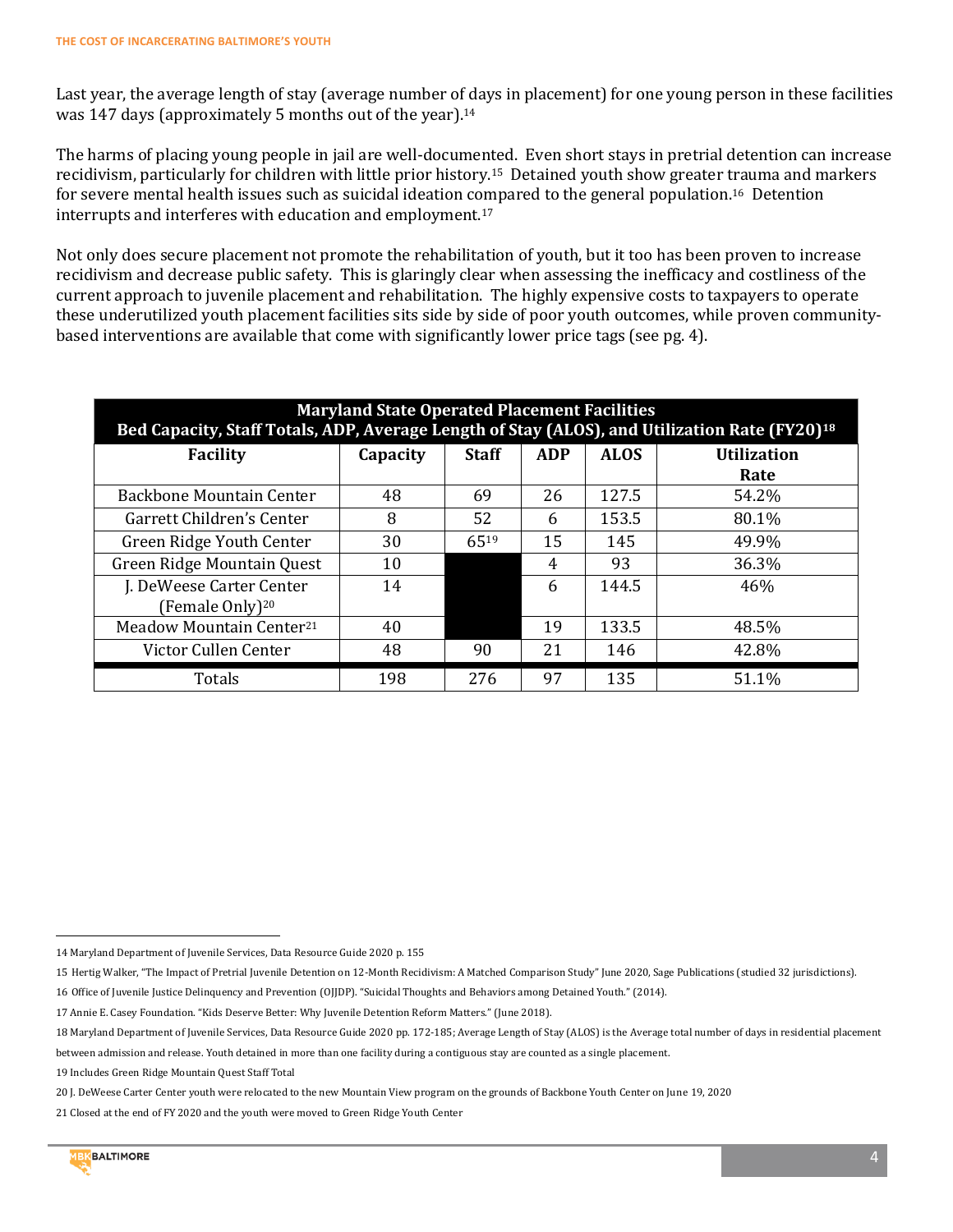Last year, the average length of stay (average number of days in placement) for one young person in these facilities was 147 days (approximately 5 months out of the year).<sup>14</sup>

The harms of placing young people in jail are well-documented. Even short stays in pretrial detention can increase recidivism, particularly for children with little prior history.15 Detained youth show greater trauma and markers for severe mental health issues such as suicidal ideation compared to the general population.16 Detention interrupts and interferes with education and employment.<sup>17</sup>

Not only does secure placement not promote the rehabilitation of youth, but it too has been proven to increase recidivism and decrease public safety. This is glaringly clear when assessing the inefficacy and costliness of the current approach to juvenile placement and rehabilitation. The highly expensive costs to taxpayers to operate these underutilized youth placement facilities sits side by side of poor youth outcomes, while proven communitybased interventions are available that come with significantly lower price tags (see pg. 4).

| <b>Maryland State Operated Placement Facilities</b><br>Bed Capacity, Staff Totals, ADP, Average Length of Stay (ALOS), and Utilization Rate (FY20) <sup>18</sup> |          |              |            |             |                            |
|------------------------------------------------------------------------------------------------------------------------------------------------------------------|----------|--------------|------------|-------------|----------------------------|
| <b>Facility</b>                                                                                                                                                  | Capacity | <b>Staff</b> | <b>ADP</b> | <b>ALOS</b> | <b>Utilization</b><br>Rate |
| Backbone Mountain Center                                                                                                                                         | 48       | 69           | 26         | 127.5       | 54.2%                      |
| Garrett Children's Center                                                                                                                                        | 8        | 52           | 6          | 153.5       | 80.1%                      |
| Green Ridge Youth Center                                                                                                                                         | 30       | 6519         | 15         | 145         | 49.9%                      |
| Green Ridge Mountain Quest                                                                                                                                       | 10       |              | 4          | 93          | 36.3%                      |
| J. DeWeese Carter Center<br>(Female Only) <sup>20</sup>                                                                                                          | 14       |              | 6          | 144.5       | 46%                        |
| Meadow Mountain Center <sup>21</sup>                                                                                                                             | 40       |              | 19         | 133.5       | 48.5%                      |
| Victor Cullen Center                                                                                                                                             | 48       | 90           | 21         | 146         | 42.8%                      |
| Totals                                                                                                                                                           | 198      | 276          | 97         | 135         | 51.1%                      |

- 15 Hertig Walker, "The Impact of Pretrial Juvenile Detention on 12-Month Recidivism: A Matched Comparison Study" June 2020, Sage Publications (studied 32 jurisdictions). 16 Office of Juvenile Justice Delinquency and Prevention (OJJDP). "Suicidal Thoughts and Behaviors among Detained Youth." (2014).
- 17 Annie E. Casey Foundation. "Kids Deserve Better: Why Juvenile Detention Reform Matters." (June 2018).

 $\overline{\phantom{0}}$ 

<sup>14</sup> Maryland Department of Juvenile Services, Data Resource Guide 2020 p. 155

<sup>18</sup> Maryland Department of Juvenile Services, Data Resource Guide 2020 pp. 172-185; Average Length of Stay (ALOS) is the Average total number of days in residential placement between admission and release. Youth detained in more than one facility during a contiguous stay are counted as a single placement.

<sup>19</sup> Includes Green Ridge Mountain Quest Staff Total

<sup>20</sup> J. DeWeese Carter Center youth were relocated to the new Mountain View program on the grounds of Backbone Youth Center on June 19, 2020

<sup>21</sup> Closed at the end of FY 2020 and the youth were moved to Green Ridge Youth Center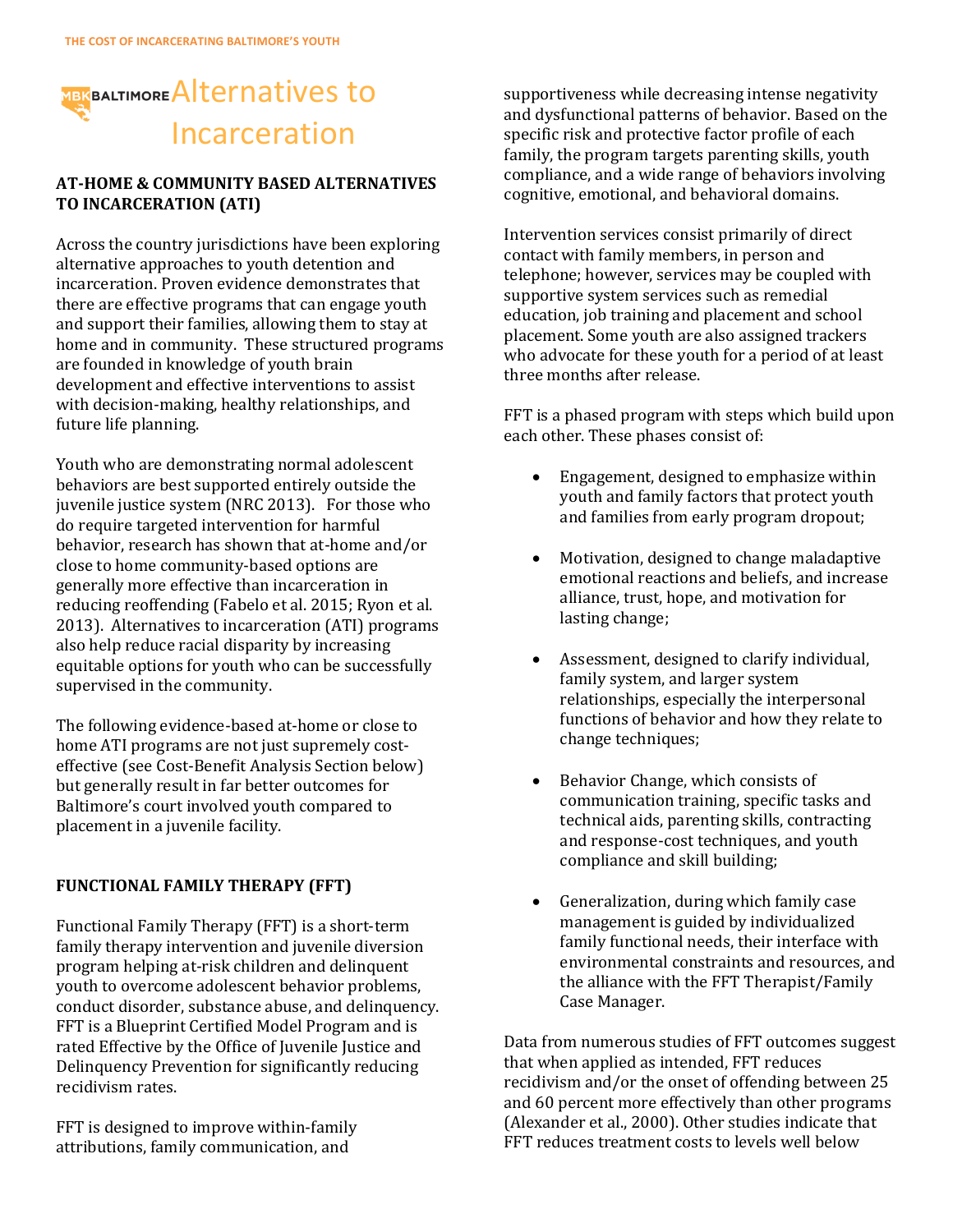# **MBKBALTIMORE** Alternatives to Incarceration

### **AT-HOME & COMMUNITY BASED ALTERNATIVES TO INCARCERATION (ATI)**

Across the country jurisdictions have been exploring alternative approaches to youth detention and incarceration. Proven evidence demonstrates that there are effective programs that can engage youth and support their families, allowing them to stay at home and in community. These structured programs are founded in knowledge of youth brain development and effective interventions to assist with decision-making, healthy relationships, and future life planning.

Youth who are demonstrating normal adolescent behaviors are best supported entirely outside the juvenile justice system (NRC 2013). For those who do require targeted intervention for harmful behavior, research has shown that at-home and/or close to home community-based options are generally more effective than incarceration in reducing reoffending (Fabelo et al. 2015; Ryon et al. 2013). Alternatives to incarceration (ATI) programs also help reduce racial disparity by increasing equitable options for youth who can be successfully supervised in the community.

The following evidence-based at-home or close to home ATI programs are not just supremely costeffective (see Cost-Benefit Analysis Section below) but generally result in far better outcomes for Baltimore's court involved youth compared to placement in a juvenile facility.

# **FUNCTIONAL FAMILY THERAPY (FFT)**

Functional Family Therapy (FFT) is a short-term family therapy intervention and juvenile diversion program helping at-risk children and delinquent youth to overcome adolescent behavior problems, conduct disorder, substance abuse, and delinquency. FFT is a Blueprint Certified Model Program and is rated Effective by the Office of Juvenile Justice and Delinquency Prevention for significantly reducing recidivism rates.

FFT is designed to improve within-family attributions, family communication, and

supportiveness while decreasing intense negativity and dysfunctional patterns of behavior. Based on the specific risk and protective factor profile of each family, the program targets parenting skills, youth compliance, and a wide range of behaviors involving cognitive, emotional, and behavioral domains.

Intervention services consist primarily of direct contact with family members, in person and telephone; however, services may be coupled with supportive system services such as remedial education, job training and placement and school placement. Some youth are also assigned trackers who advocate for these youth for a period of at least three months after release.

FFT is a phased program with steps which build upon each other. These phases consist of:

- Engagement, designed to emphasize within youth and family factors that protect youth and families from early program dropout;
- Motivation, designed to change maladaptive emotional reactions and beliefs, and increase alliance, trust, hope, and motivation for lasting change;
- Assessment, designed to clarify individual, family system, and larger system relationships, especially the interpersonal functions of behavior and how they relate to change techniques;
- Behavior Change, which consists of communication training, specific tasks and technical aids, parenting skills, contracting and response-cost techniques, and youth compliance and skill building;
- Generalization, during which family case management is guided by individualized family functional needs, their interface with environmental constraints and resources, and the alliance with the FFT Therapist/Family Case Manager.

Data from numerous studies of FFT outcomes suggest that when applied as intended, FFT reduces recidivism and/or the onset of offending between 25 and 60 percent more effectively than other programs (Alexander et al., 2000). Other studies indicate that FFT reduces treatment costs to levels well below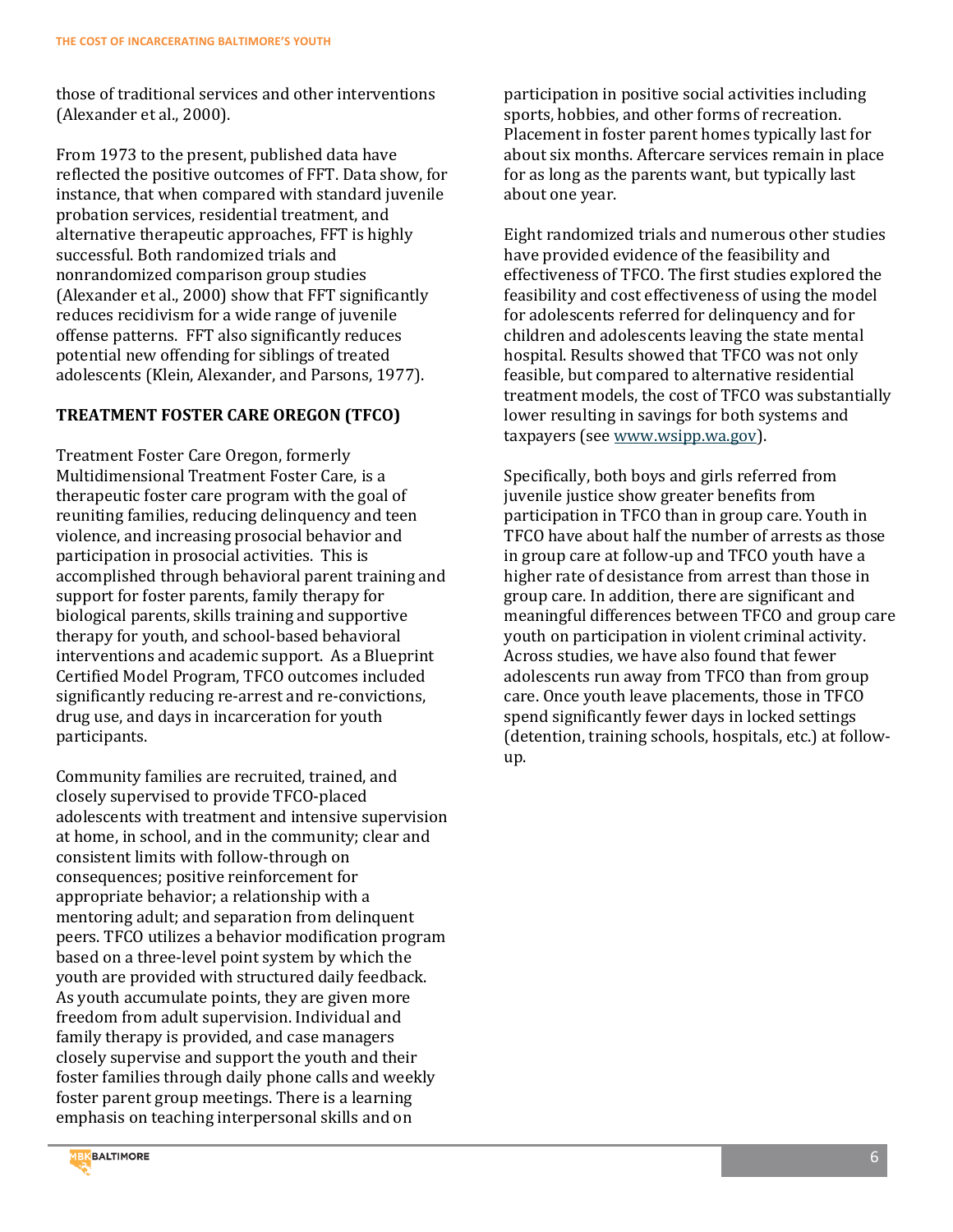those of traditional services and other interventions (Alexander et al., 2000).

From 1973 to the present, published data have reflected the positive outcomes of FFT. Data show, for instance, that when compared with standard juvenile probation services, residential treatment, and alternative therapeutic approaches, FFT is highly successful. Both randomized trials and nonrandomized comparison group studies (Alexander et al., 2000) show that FFT significantly reduces recidivism for a wide range of juvenile offense patterns. FFT also significantly reduces potential new offending for siblings of treated adolescents (Klein, Alexander, and Parsons, 1977).

# **TREATMENT FOSTER CARE OREGON (TFCO)**

Treatment Foster Care Oregon, formerly Multidimensional Treatment Foster Care, is a therapeutic foster care program with the goal of reuniting families, reducing delinquency and teen violence, and increasing prosocial behavior and participation in prosocial activities. This is accomplished through behavioral parent training and support for foster parents, family therapy for biological parents, skills training and supportive therapy for youth, and school-based behavioral interventions and academic support. As a Blueprint Certified Model Program, TFCO outcomes included significantly reducing re-arrest and re-convictions, drug use, and days in incarceration for youth participants.

Community families are recruited, trained, and closely supervised to provide TFCO-placed adolescents with treatment and intensive supervision at home, in school, and in the community; clear and consistent limits with follow-through on consequences; positive reinforcement for appropriate behavior; a relationship with a mentoring adult; and separation from delinquent peers. TFCO utilizes a behavior modification program based on a three-level point system by which the youth are provided with structured daily feedback. As youth accumulate points, they are given more freedom from adult supervision. Individual and family therapy is provided, and case managers closely supervise and support the youth and their foster families through daily phone calls and weekly foster parent group meetings. There is a learning emphasis on teaching interpersonal skills and on

participation in positive social activities including sports, hobbies, and other forms of recreation. Placement in foster parent homes typically last for about six months. Aftercare services remain in place for as long as the parents want, but typically last about one year.

Eight randomized trials and numerous other studies have provided evidence of the feasibility and effectiveness of TFCO. The first studies explored the feasibility and cost effectiveness of using the model for adolescents referred for delinquency and for children and adolescents leaving the state mental hospital. Results showed that TFCO was not only feasible, but compared to alternative residential treatment models, the cost of TFCO was substantially lower resulting in savings for both systems and taxpayers (se[e www.wsipp.wa.gov\)](http://www.wsipp.wa.gov/).

Specifically, both boys and girls referred from juvenile justice show greater benefits from participation in TFCO than in group care. Youth in TFCO have about half the number of arrests as those in group care at follow-up and TFCO youth have a higher rate of desistance from arrest than those in group care. In addition, there are significant and meaningful differences between TFCO and group care youth on participation in violent criminal activity. Across studies, we have also found that fewer adolescents run away from TFCO than from group care. Once youth leave placements, those in TFCO spend significantly fewer days in locked settings (detention, training schools, hospitals, etc.) at followup.

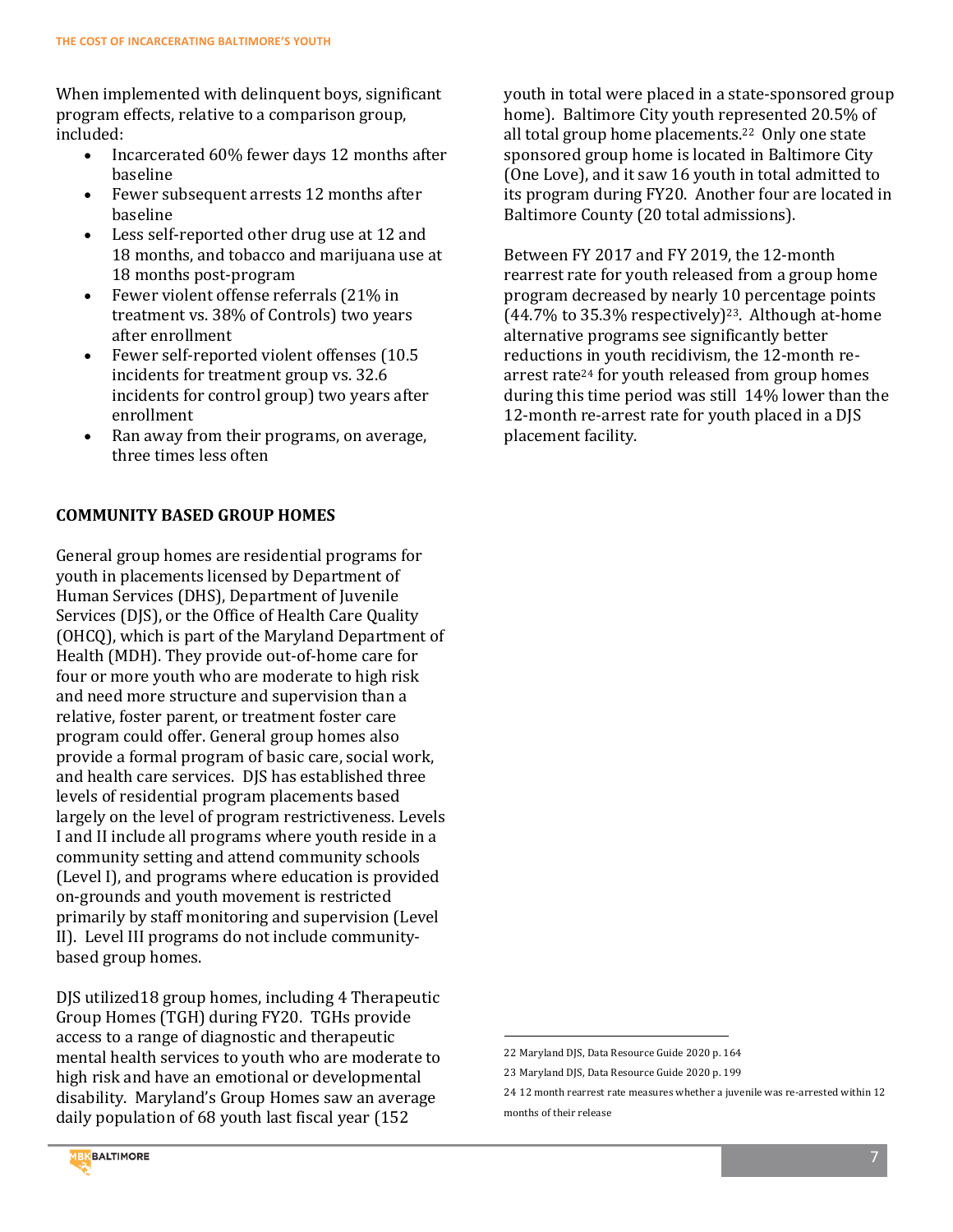When implemented with delinquent boys, significant program effects, relative to a comparison group, included:

- Incarcerated 60% fewer days 12 months after baseline
- Fewer subsequent arrests 12 months after baseline
- Less self-reported other drug use at 12 and 18 months, and tobacco and marijuana use at 18 months post-program
- Fewer violent offense referrals (21% in treatment vs. 38% of Controls) two years after enrollment
- Fewer self-reported violent offenses (10.5 incidents for treatment group vs. 32.6 incidents for control group) two years after enrollment
- Ran away from their programs, on average, three times less often

# **COMMUNITY BASED GROUP HOMES**

General group homes are residential programs for youth in placements licensed by Department of Human Services (DHS), Department of Juvenile Services (DJS), or the Office of Health Care Quality (OHCQ), which is part of the Maryland Department of Health (MDH). They provide out-of-home care for four or more youth who are moderate to high risk and need more structure and supervision than a relative, foster parent, or treatment foster care program could offer. General group homes also provide a formal program of basic care, social work, and health care services. DJS has established three levels of residential program placements based largely on the level of program restrictiveness. Levels I and II include all programs where youth reside in a community setting and attend community schools (Level I), and programs where education is provided on-grounds and youth movement is restricted primarily by staff monitoring and supervision (Level II). Level III programs do not include communitybased group homes.

DJS utilized18 group homes, including 4 Therapeutic Group Homes (TGH) during FY20. TGHs provide access to a range of diagnostic and therapeutic mental health services to youth who are moderate to high risk and have an emotional or developmental disability. Maryland's Group Homes saw an average daily population of 68 youth last fiscal year (152

youth in total were placed in a state-sponsored group home). Baltimore City youth represented 20.5% of all total group home placements.22 Only one state sponsored group home is located in Baltimore City (One Love), and it saw 16 youth in total admitted to its program during FY20. Another four are located in Baltimore County (20 total admissions).

Between FY 2017 and FY 2019, the 12-month rearrest rate for youth released from a group home program decreased by nearly 10 percentage points  $(44.7\%$  to 35.3% respectively)<sup>23</sup>. Although at-home alternative programs see significantly better reductions in youth recidivism, the 12-month rearrest rate<sup>24</sup> for youth released from group homes during this time period was still 14% lower than the 12-month re-arrest rate for youth placed in a DJS placement facility.

 $\overline{a}$ 



<sup>22</sup> Maryland DJS, Data Resource Guide 2020 p. 164

<sup>23</sup> Maryland DJS, Data Resource Guide 2020 p. 199

<sup>24</sup> 12 month rearrest rate measures whether a juvenile was re-arrested within 12 months of their release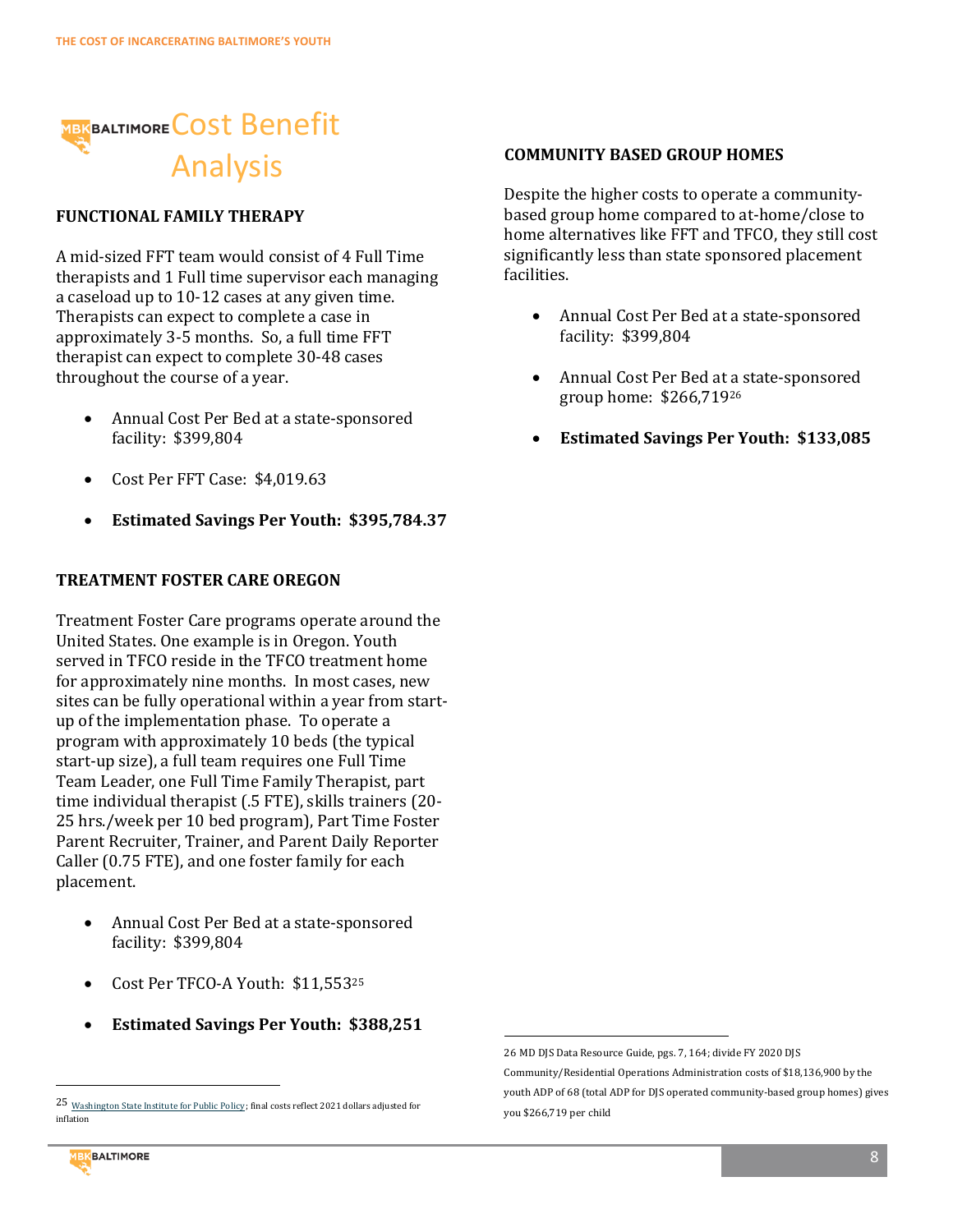

# **FUNCTIONAL FAMILY THERAPY**

A mid-sized FFT team would consist of 4 Full Time therapists and 1 Full time supervisor each managing a caseload up to 10-12 cases at any given time. Therapists can expect to complete a case in approximately 3-5 months. So, a full time FFT therapist can expect to complete 30-48 cases throughout the course of a year.

- Annual Cost Per Bed at a state-sponsored facility: \$399,804
- Cost Per FFT Case: \$4,019.63
- **Estimated Savings Per Youth: \$395,784.37**

### **TREATMENT FOSTER CARE OREGON**

Treatment Foster Care programs operate around the United States. One example is in Oregon. Youth served in TFCO reside in the TFCO treatment home for approximately nine months. In most cases, new sites can be fully operational within a year from startup of the implementation phase. To operate a program with approximately 10 beds (the typical start-up size), a full team requires one Full Time Team Leader, one Full Time Family Therapist, part time individual therapist (.5 FTE), skills trainers (20- 25 hrs./week per 10 bed program), Part Time Foster Parent Recruiter, Trainer, and Parent Daily Reporter Caller (0.75 FTE), and one foster family for each placement.

- Annual Cost Per Bed at a state-sponsored facility: \$399,804
- Cost Per TFCO-A Youth: \$11,553<sup>25</sup>
- **Estimated Savings Per Youth: \$388,251**

#### **COMMUNITY BASED GROUP HOMES**

Despite the higher costs to operate a communitybased group home compared to at-home/close to home alternatives like FFT and TFCO, they still cost significantly less than state sponsored placement facilities.

- Annual Cost Per Bed at a state-sponsored facility: \$399,804
- Annual Cost Per Bed at a state-sponsored group home: \$266,719<sup>26</sup>
- **Estimated Savings Per Youth: \$133,085**

 $\overline{a}$ 

l



<sup>25</sup> [Washington State Institute for Public Policy](http://www.wsipp.wa.gov/BenefitCost/Program/20); final costs reflect 2021 dollars adjusted for inflation

<sup>26</sup> MD DJS Data Resource Guide, pgs. 7, 164; divide FY 2020 DJS

Community/Residential Operations Administration costs of \$18,136,900 by the youth ADP of 68 (total ADP for DJS operated community-based group homes) gives you \$266,719 per child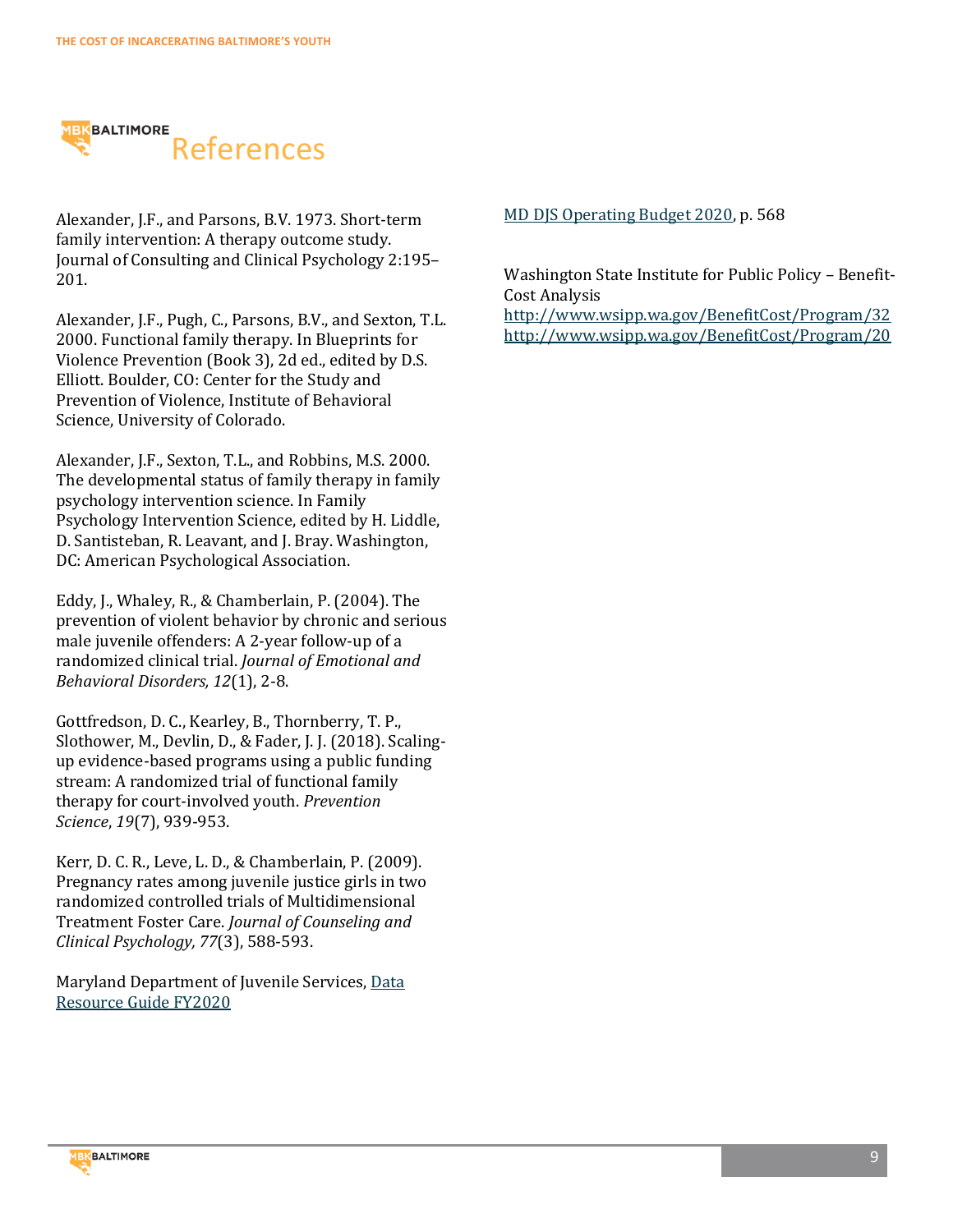

Alexander, J.F., and Parsons, B.V. 1973. Short-term family intervention: A therapy outcome study. Journal of Consulting and Clinical Psychology 2:195– 201.

Alexander, J.F., Pugh, C., Parsons, B.V., and Sexton, T.L. 2000. Functional family therapy. In Blueprints for Violence Prevention (Book 3), 2d ed., edited by D.S. Elliott. Boulder, CO: Center for the Study and Prevention of Violence, Institute of Behavioral Science, University of Colorado.

Alexander, J.F., Sexton, T.L., and Robbins, M.S. 2000. The developmental status of family therapy in family psychology intervention science. In Family Psychology Intervention Science, edited by H. Liddle, D. Santisteban, R. Leavant, and J. Bray. Washington, DC: American Psychological Association.

Eddy, J., Whaley, R., & Chamberlain, P. (2004). The prevention of violent behavior by chronic and serious male juvenile offenders: A 2-year follow-up of a randomized clinical trial. *Journal of Emotional and Behavioral Disorders, 12*(1), 2-8.

Gottfredson, D. C., Kearley, B., Thornberry, T. P., Slothower, M., Devlin, D., & Fader, J. J. (2018). Scalingup evidence-based programs using a public funding stream: A randomized trial of functional family therapy for court-involved youth. *Prevention Science*, *19*(7), 939-953.

Kerr, D. C. R., Leve, L. D., & Chamberlain, P. (2009). Pregnancy rates among juvenile justice girls in two randomized controlled trials of Multidimensional Treatment Foster Care. *Journal of Counseling and Clinical Psychology, 77*(3), 588-593.

Maryland Department of Juvenile Services, [Data](https://djs.maryland.gov/Documents/DRG/Data_Resource_Guide_FY2020.pdf)  [Resource Guide FY2020](https://djs.maryland.gov/Documents/DRG/Data_Resource_Guide_FY2020.pdf)

#### [MD DJS Operating Budget 2020,](https://bloombergdotorg-my.sharepoint.com/personal/grichardson_bloomberg_org/Documents/Baltimore/goings-2016a-high-achieving-nontraditional-black-males-at-hbcu.pdf) p. 568

Washington State Institute for Public Policy – Benefit-Cost Analysis

<http://www.wsipp.wa.gov/BenefitCost/Program/32> <http://www.wsipp.wa.gov/BenefitCost/Program/20>